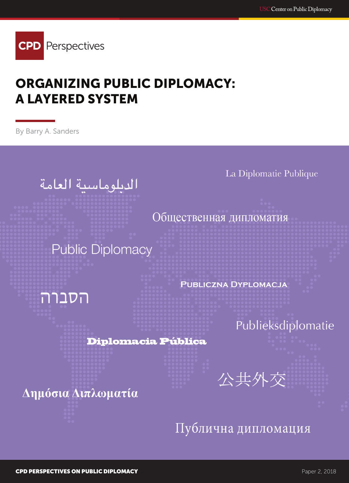

# ORGANIZING PUBLIC DIPLOMACY: A LAYERED SYSTEM

By Barry A. Sanders

الديلوماسية العامة

La Diplomatie Publique

Общественная дипломатия

**Public Diplomacy** 

**PUBLICZNA DYPLOMACJA** 

Publieksdiplomatie

**Diplomacia Pública** 

Δημόσια Διπλωματία

הסברה

Публична дипломация

公共外交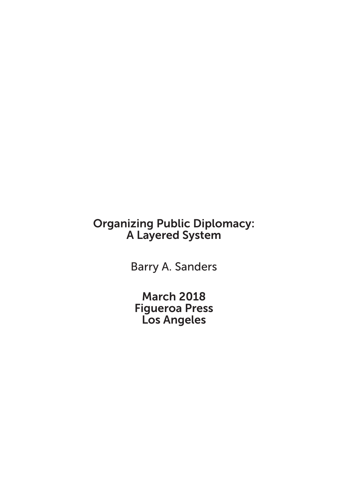# Organizing Public Diplomacy: A Layered System

Barry A. Sanders

March 2018 Figueroa Press Los Angeles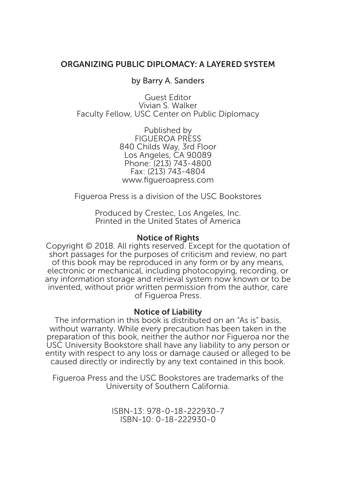#### ORGANIZING PUBLIC DIPLOMACY: A LAYERED SYSTEM

#### by Barry A. Sanders

Guest Editor Vivian S. Walker Faculty Fellow, USC Center on Public Diplomacy

> Published by FIGUEROA PRESS 840 Childs Way, 3rd Floor Los Angeles, CA 90089 Phone: (213) 743-4800 Fax: (213) 743-4804 www.figueroapress.com

Figueroa Press is a division of the USC Bookstores

Produced by Crestec, Los Angeles, Inc. Printed in the United States of America

#### Notice of Rights

Copyright © 2018. All rights reserved. Except for the quotation of short passages for the purposes of criticism and review, no part of this book may be reproduced in any form or by any means, electronic or mechanical, including photocopying, recording, or any information storage and retrieval system now known or to be invented, without prior written permission from the author, care of Figueroa Press.

#### Notice of Liability

The information in this book is distributed on an "As is" basis, without warranty. While every precaution has been taken in the preparation of this book, neither the author nor Figueroa nor the USC University Bookstore shall have any liability to any person or entity with respect to any loss or damage caused or alleged to be caused directly or indirectly by any text contained in this book.

Figueroa Press and the USC Bookstores are trademarks of the University of Southern California.

> ISBN-13: 978-0-18-222930-7 ISBN-10: 0-18-222930-0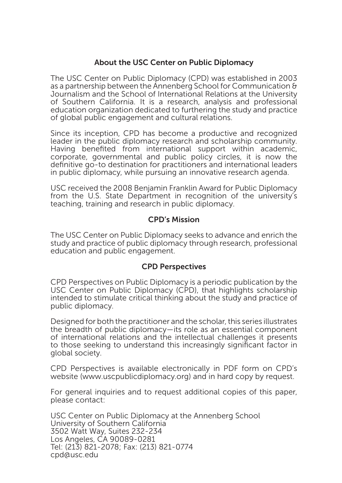#### About the USC Center on Public Diplomacy

The USC Center on Public Diplomacy (CPD) was established in 2003 as a partnership between the Annenberg School for Communication & Journalism and the School of International Relations at the University of Southern California. It is a research, analysis and professional education organization dedicated to furthering the study and practice of global public engagement and cultural relations.

Since its inception, CPD has become a productive and recognized leader in the public diplomacy research and scholarship community. Having benefited from international support within academic, corporate, governmental and public policy circles, it is now the definitive go-to destination for practitioners and international leaders in public diplomacy, while pursuing an innovative research agenda.

USC received the 2008 Benjamin Franklin Award for Public Diplomacy from the U.S. State Department in recognition of the university's teaching, training and research in public diplomacy.

#### CPD's Mission

The USC Center on Public Diplomacy seeks to advance and enrich the study and practice of public diplomacy through research, professional education and public engagement.

#### CPD Perspectives

CPD Perspectives on Public Diplomacy is a periodic publication by the USC Center on Public Diplomacy (CPD), that highlights scholarship intended to stimulate critical thinking about the study and practice of public diplomacy.

Designed for both the practitioner and the scholar, this series illustrates the breadth of public diplomacy—its role as an essential component of international relations and the intellectual challenges it presents to those seeking to understand this increasingly significant factor in global society.

CPD Perspectives is available electronically in PDF form on CPD's website (www.uscpublicdiplomacy.org) and in hard copy by request.

For general inquiries and to request additional copies of this paper, please contact:

USC Center on Public Diplomacy at the Annenberg School University of Southern California 3502 Watt Way, Suites 232-234 Los Angeles, CA 90089-0281 Tel: (213) 821-2078; Fax: (213) 821-0774 cpd@usc.edu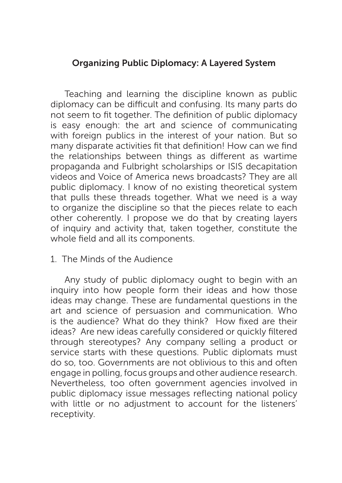## Organizing Public Diplomacy: A Layered System

Teaching and learning the discipline known as public diplomacy can be difficult and confusing. Its many parts do not seem to fit together. The definition of public diplomacy is easy enough: the art and science of communicating with foreign publics in the interest of your nation. But so many disparate activities fit that definition! How can we find the relationships between things as different as wartime propaganda and Fulbright scholarships or ISIS decapitation videos and Voice of America news broadcasts? They are all public diplomacy. I know of no existing theoretical system that pulls these threads together. What we need is a way to organize the discipline so that the pieces relate to each other coherently. I propose we do that by creating layers of inquiry and activity that, taken together, constitute the whole field and all its components.

### 1. The Minds of the Audience

Any study of public diplomacy ought to begin with an inquiry into how people form their ideas and how those ideas may change. These are fundamental questions in the art and science of persuasion and communication. Who is the audience? What do they think? How fixed are their ideas? Are new ideas carefully considered or quickly filtered through stereotypes? Any company selling a product or service starts with these questions. Public diplomats must do so, too. Governments are not oblivious to this and often engage in polling, focus groups and other audience research. Nevertheless, too often government agencies involved in public diplomacy issue messages reflecting national policy with little or no adjustment to account for the listeners' receptivity.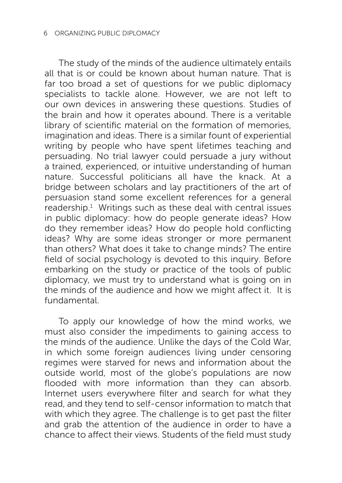The study of the minds of the audience ultimately entails all that is or could be known about human nature. That is far too broad a set of questions for we public diplomacy specialists to tackle alone. However, we are not left to our own devices in answering these questions. Studies of the brain and how it operates abound. There is a veritable library of scientific material on the formation of memories, imagination and ideas. There is a similar fount of experiential writing by people who have spent lifetimes teaching and persuading. No trial lawyer could persuade a jury without a trained, experienced, or intuitive understanding of human nature. Successful politicians all have the knack. At a bridge between scholars and lay practitioners of the art of persuasion stand some excellent references for a general  $readership.<sup>1</sup>$  Writings such as these deal with central issues in public diplomacy: how do people generate ideas? How do they remember ideas? How do people hold conflicting ideas? Why are some ideas stronger or more permanent than others? What does it take to change minds? The entire field of social psychology is devoted to this inquiry. Before embarking on the study or practice of the tools of public diplomacy, we must try to understand what is going on in the minds of the audience and how we might affect it. It is fundamental.

To apply our knowledge of how the mind works, we must also consider the impediments to gaining access to the minds of the audience. Unlike the days of the Cold War, in which some foreign audiences living under censoring regimes were starved for news and information about the outside world, most of the globe's populations are now flooded with more information than they can absorb. Internet users everywhere filter and search for what they read, and they tend to self-censor information to match that with which they agree. The challenge is to get past the filter and grab the attention of the audience in order to have a chance to affect their views. Students of the field must study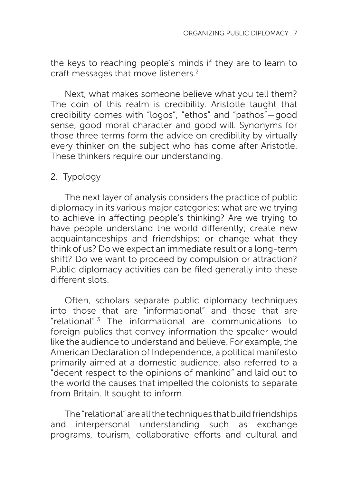the keys to reaching people's minds if they are to learn to craft messages that move listeners.<sup>2</sup>

Next, what makes someone believe what you tell them? The coin of this realm is credibility. Aristotle taught that credibility comes with "logos", "ethos" and "pathos"—good sense, good moral character and good will. Synonyms for those three terms form the advice on credibility by virtually every thinker on the subject who has come after Aristotle. These thinkers require our understanding.

## 2. Typology

The next layer of analysis considers the practice of public diplomacy in its various major categories: what are we trying to achieve in affecting people's thinking? Are we trying to have people understand the world differently; create new acquaintanceships and friendships; or change what they think of us? Do we expect an immediate result or a long-term shift? Do we want to proceed by compulsion or attraction? Public diplomacy activities can be filed generally into these different slots.

Often, scholars separate public diplomacy techniques into those that are "informational" and those that are "relational".3 The informational are communications to foreign publics that convey information the speaker would like the audience to understand and believe. For example, the American Declaration of Independence, a political manifesto primarily aimed at a domestic audience, also referred to a "decent respect to the opinions of mankind" and laid out to the world the causes that impelled the colonists to separate from Britain. It sought to inform.

The "relational" are all the techniques that build friendships and interpersonal understanding such as exchange programs, tourism, collaborative efforts and cultural and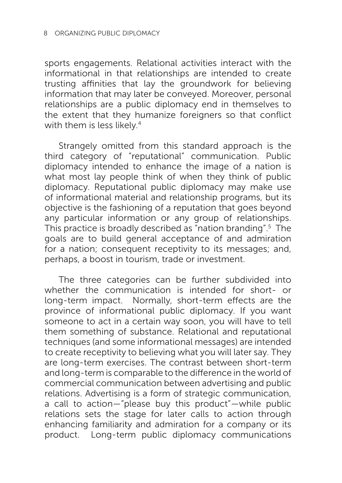sports engagements. Relational activities interact with the informational in that relationships are intended to create trusting affinities that lay the groundwork for believing information that may later be conveyed. Moreover, personal relationships are a public diplomacy end in themselves to the extent that they humanize foreigners so that conflict with them is less likely.<sup>4</sup>

Strangely omitted from this standard approach is the third category of "reputational" communication. Public diplomacy intended to enhance the image of a nation is what most lay people think of when they think of public diplomacy. Reputational public diplomacy may make use of informational material and relationship programs, but its objective is the fashioning of a reputation that goes beyond any particular information or any group of relationships. This practice is broadly described as "nation branding".5 The goals are to build general acceptance of and admiration for a nation; consequent receptivity to its messages; and, perhaps, a boost in tourism, trade or investment.

The three categories can be further subdivided into whether the communication is intended for short- or long-term impact. Normally, short-term effects are the province of informational public diplomacy. If you want someone to act in a certain way soon, you will have to tell them something of substance. Relational and reputational techniques (and some informational messages) are intended to create receptivity to believing what you will later say. They are long-term exercises. The contrast between short-term and long-term is comparable to the difference in the world of commercial communication between advertising and public relations. Advertising is a form of strategic communication, a call to action—"please buy this product"—while public relations sets the stage for later calls to action through enhancing familiarity and admiration for a company or its product. Long-term public diplomacy communications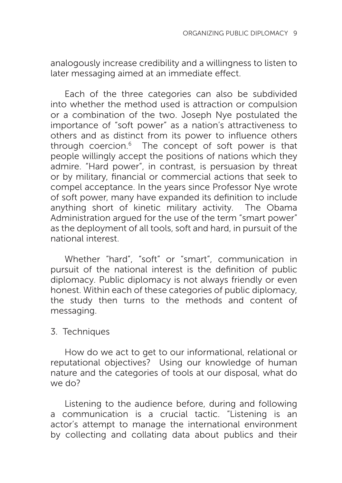analogously increase credibility and a willingness to listen to later messaging aimed at an immediate effect.

Each of the three categories can also be subdivided into whether the method used is attraction or compulsion or a combination of the two. Joseph Nye postulated the importance of "soft power" as a nation's attractiveness to others and as distinct from its power to influence others through coercion. $6$  The concept of soft power is that people willingly accept the positions of nations which they admire. "Hard power", in contrast, is persuasion by threat or by military, financial or commercial actions that seek to compel acceptance. In the years since Professor Nye wrote of soft power, many have expanded its definition to include anything short of kinetic military activity. The Obama Administration argued for the use of the term "smart power" as the deployment of all tools, soft and hard, in pursuit of the national interest.

Whether "hard", "soft" or "smart", communication in pursuit of the national interest is the definition of public diplomacy. Public diplomacy is not always friendly or even honest. Within each of these categories of public diplomacy, the study then turns to the methods and content of messaging.

## 3. Techniques

How do we act to get to our informational, relational or reputational objectives? Using our knowledge of human nature and the categories of tools at our disposal, what do we do?

Listening to the audience before, during and following a communication is a crucial tactic. "Listening is an actor's attempt to manage the international environment by collecting and collating data about publics and their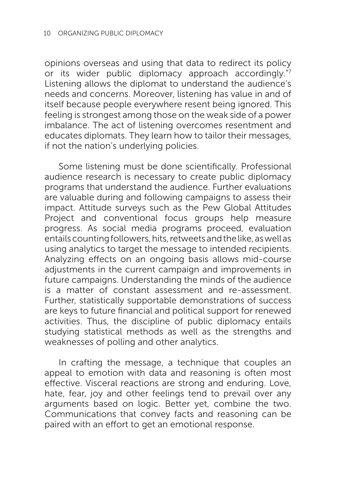opinions overseas and using that data to redirect its policy or its wider public diplomacy approach accordingly."7 Listening allows the diplomat to understand the audience's needs and concerns. Moreover, listening has value in and of itself because people everywhere resent being ignored. This feeling is strongest among those on the weak side of a power imbalance. The act of listening overcomes resentment and educates diplomats. They learn how to tailor their messages, if not the nation's underlying policies.

Some listening must be done scientifically. Professional audience research is necessary to create public diplomacy programs that understand the audience. Further evaluations are valuable during and following campaigns to assess their impact. Attitude surveys such as the Pew Global Attitudes Project and conventional focus groups help measure progress. As social media programs proceed, evaluation entails counting followers, hits, retweets and the like, as well as using analytics to target the message to intended recipients. Analyzing effects on an ongoing basis allows mid-course adjustments in the current campaign and improvements in future campaigns. Understanding the minds of the audience is a matter of constant assessment and re-assessment. Further, statistically supportable demonstrations of success are keys to future financial and political support for renewed activities. Thus, the discipline of public diplomacy entails studying statistical methods as well as the strengths and weaknesses of polling and other analytics.

In crafting the message, a technique that couples an appeal to emotion with data and reasoning is often most effective. Visceral reactions are strong and enduring. Love, hate, fear, joy and other feelings tend to prevail over any arguments based on logic. Better yet, combine the two. Communications that convey facts and reasoning can be paired with an effort to get an emotional response.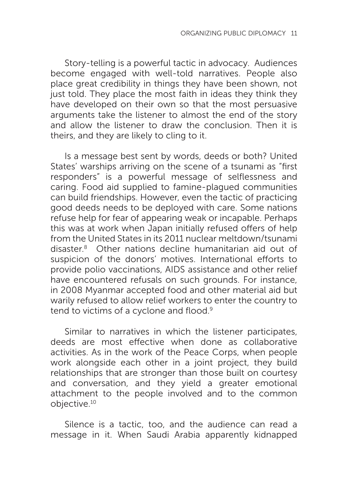Story-telling is a powerful tactic in advocacy. Audiences become engaged with well-told narratives. People also place great credibility in things they have been shown, not just told. They place the most faith in ideas they think they have developed on their own so that the most persuasive arguments take the listener to almost the end of the story and allow the listener to draw the conclusion. Then it is theirs, and they are likely to cling to it.

Is a message best sent by words, deeds or both? United States' warships arriving on the scene of a tsunami as "first responders" is a powerful message of selflessness and caring. Food aid supplied to famine-plagued communities can build friendships. However, even the tactic of practicing good deeds needs to be deployed with care. Some nations refuse help for fear of appearing weak or incapable. Perhaps this was at work when Japan initially refused offers of help from the United States in its 2011 nuclear meltdown/tsunami disaster.8 Other nations decline humanitarian aid out of suspicion of the donors' motives. International efforts to provide polio vaccinations, AIDS assistance and other relief have encountered refusals on such grounds. For instance, in 2008 Myanmar accepted food and other material aid but warily refused to allow relief workers to enter the country to tend to victims of a cyclone and flood.<sup>9</sup>

Similar to narratives in which the listener participates, deeds are most effective when done as collaborative activities. As in the work of the Peace Corps, when people work alongside each other in a joint project, they build relationships that are stronger than those built on courtesy and conversation, and they yield a greater emotional attachment to the people involved and to the common objective.10

Silence is a tactic, too, and the audience can read a message in it. When Saudi Arabia apparently kidnapped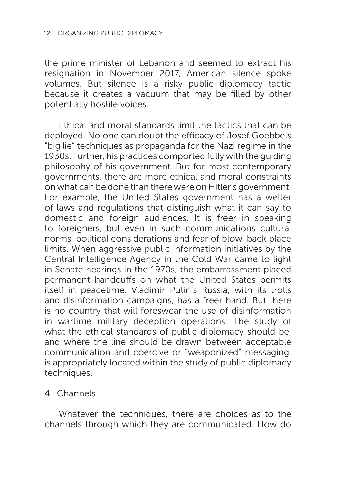the prime minister of Lebanon and seemed to extract his resignation in November 2017, American silence spoke volumes. But silence is a risky public diplomacy tactic because it creates a vacuum that may be filled by other potentially hostile voices.

Ethical and moral standards limit the tactics that can be deployed. No one can doubt the efficacy of Josef Goebbels "big lie" techniques as propaganda for the Nazi regime in the 1930s. Further, his practices comported fully with the guiding philosophy of his government. But for most contemporary governments, there are more ethical and moral constraints on what can be done than there were on Hitler's government. For example, the United States government has a welter of laws and regulations that distinguish what it can say to domestic and foreign audiences. It is freer in speaking to foreigners, but even in such communications cultural norms, political considerations and fear of blow-back place limits. When aggressive public information initiatives by the Central Intelligence Agency in the Cold War came to light in Senate hearings in the 1970s, the embarrassment placed permanent handcuffs on what the United States permits itself in peacetime. Vladimir Putin's Russia, with its trolls and disinformation campaigns, has a freer hand. But there is no country that will foreswear the use of disinformation in wartime military deception operations. The study of what the ethical standards of public diplomacy should be, and where the line should be drawn between acceptable communication and coercive or "weaponized" messaging, is appropriately located within the study of public diplomacy techniques.

4. Channels

Whatever the techniques, there are choices as to the channels through which they are communicated. How do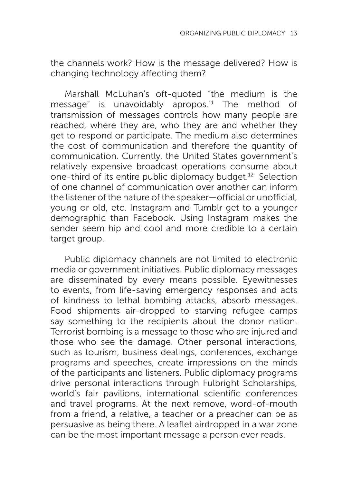the channels work? How is the message delivered? How is changing technology affecting them?

Marshall McLuhan's oft-quoted "the medium is the message" is unavoidably apropos.<sup>11</sup> The method of transmission of messages controls how many people are reached, where they are, who they are and whether they get to respond or participate. The medium also determines the cost of communication and therefore the quantity of communication. Currently, the United States government's relatively expensive broadcast operations consume about one-third of its entire public diplomacy budget.12 Selection of one channel of communication over another can inform the listener of the nature of the speaker—official or unofficial, young or old, etc. Instagram and Tumblr get to a younger demographic than Facebook. Using Instagram makes the sender seem hip and cool and more credible to a certain target group.

Public diplomacy channels are not limited to electronic media or government initiatives. Public diplomacy messages are disseminated by every means possible. Eyewitnesses to events, from life-saving emergency responses and acts of kindness to lethal bombing attacks, absorb messages. Food shipments air-dropped to starving refugee camps say something to the recipients about the donor nation. Terrorist bombing is a message to those who are injured and those who see the damage. Other personal interactions, such as tourism, business dealings, conferences, exchange programs and speeches, create impressions on the minds of the participants and listeners. Public diplomacy programs drive personal interactions through Fulbright Scholarships, world's fair pavilions, international scientific conferences and travel programs. At the next remove, word-of-mouth from a friend, a relative, a teacher or a preacher can be as persuasive as being there. A leaflet airdropped in a war zone can be the most important message a person ever reads.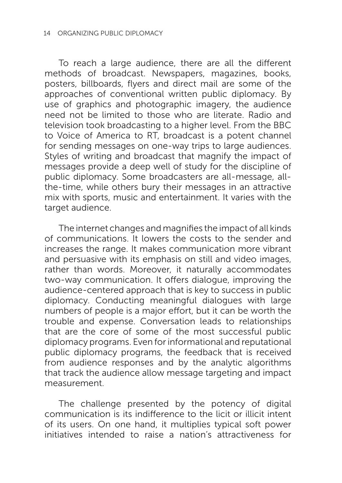To reach a large audience, there are all the different methods of broadcast. Newspapers, magazines, books, posters, billboards, flyers and direct mail are some of the approaches of conventional written public diplomacy. By use of graphics and photographic imagery, the audience need not be limited to those who are literate. Radio and television took broadcasting to a higher level. From the BBC to Voice of America to RT, broadcast is a potent channel for sending messages on one-way trips to large audiences. Styles of writing and broadcast that magnify the impact of messages provide a deep well of study for the discipline of public diplomacy. Some broadcasters are all-message, allthe-time, while others bury their messages in an attractive mix with sports, music and entertainment. It varies with the target audience.

The internet changes and magnifies the impact of all kinds of communications. It lowers the costs to the sender and increases the range. It makes communication more vibrant and persuasive with its emphasis on still and video images, rather than words. Moreover, it naturally accommodates two-way communication. It offers dialogue, improving the audience-centered approach that is key to success in public diplomacy. Conducting meaningful dialogues with large numbers of people is a major effort, but it can be worth the trouble and expense. Conversation leads to relationships that are the core of some of the most successful public diplomacy programs. Even for informational and reputational public diplomacy programs, the feedback that is received from audience responses and by the analytic algorithms that track the audience allow message targeting and impact measurement.

The challenge presented by the potency of digital communication is its indifference to the licit or illicit intent of its users. On one hand, it multiplies typical soft power initiatives intended to raise a nation's attractiveness for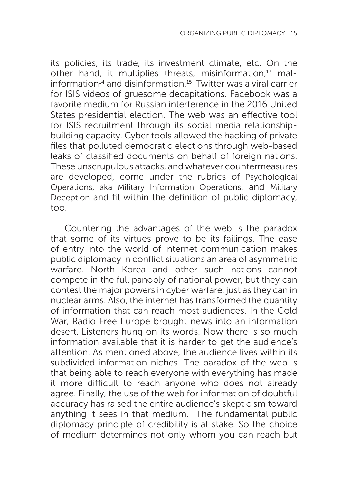its policies, its trade, its investment climate, etc. On the other hand, it multiplies threats, misinformation,<sup>13</sup> malinformation $14$  and disinformation.<sup>15</sup> Twitter was a viral carrier for ISIS videos of gruesome decapitations. Facebook was a favorite medium for Russian interference in the 2016 United States presidential election. The web was an effective tool for ISIS recruitment through its social media relationshipbuilding capacity. Cyber tools allowed the hacking of private files that polluted democratic elections through web-based leaks of classified documents on behalf of foreign nations. These unscrupulous attacks, and whatever countermeasures are developed, come under the rubrics of Psychological Operations, aka Military Information Operations. and Military Deception and fit within the definition of public diplomacy, too.

Countering the advantages of the web is the paradox that some of its virtues prove to be its failings. The ease of entry into the world of internet communication makes public diplomacy in conflict situations an area of asymmetric warfare. North Korea and other such nations cannot compete in the full panoply of national power, but they can contest the major powers in cyber warfare, just as they can in nuclear arms. Also, the internet has transformed the quantity of information that can reach most audiences. In the Cold War, Radio Free Europe brought news into an information desert. Listeners hung on its words. Now there is so much information available that it is harder to get the audience's attention. As mentioned above, the audience lives within its subdivided information niches. The paradox of the web is that being able to reach everyone with everything has made it more difficult to reach anyone who does not already agree. Finally, the use of the web for information of doubtful accuracy has raised the entire audience's skepticism toward anything it sees in that medium. The fundamental public diplomacy principle of credibility is at stake. So the choice of medium determines not only whom you can reach but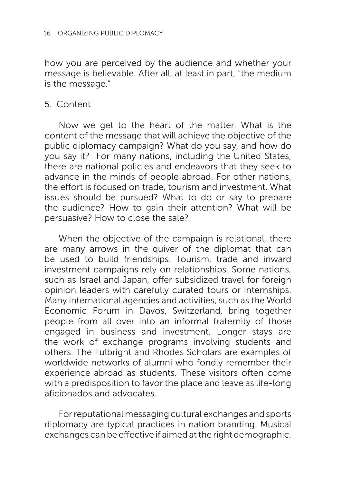how you are perceived by the audience and whether your message is believable. After all, at least in part, "the medium is the message."

### 5. Content

Now we get to the heart of the matter. What is the content of the message that will achieve the objective of the public diplomacy campaign? What do you say, and how do you say it? For many nations, including the United States, there are national policies and endeavors that they seek to advance in the minds of people abroad. For other nations, the effort is focused on trade, tourism and investment. What issues should be pursued? What to do or say to prepare the audience? How to gain their attention? What will be persuasive? How to close the sale?

When the objective of the campaign is relational, there are many arrows in the quiver of the diplomat that can be used to build friendships. Tourism, trade and inward investment campaigns rely on relationships. Some nations, such as Israel and Japan, offer subsidized travel for foreign opinion leaders with carefully curated tours or internships. Many international agencies and activities, such as the World Economic Forum in Davos, Switzerland, bring together people from all over into an informal fraternity of those engaged in business and investment. Longer stays are the work of exchange programs involving students and others. The Fulbright and Rhodes Scholars are examples of worldwide networks of alumni who fondly remember their experience abroad as students. These visitors often come with a predisposition to favor the place and leave as life-long aficionados and advocates.

For reputational messaging cultural exchanges and sports diplomacy are typical practices in nation branding. Musical exchanges can be effective if aimed at the right demographic,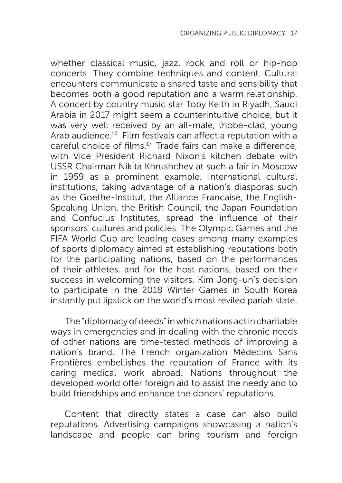whether classical music, jazz, rock and roll or hip-hop concerts. They combine techniques and content. Cultural encounters communicate a shared taste and sensibility that becomes both a good reputation and a warm relationship. A concert by country music star Toby Keith in Riyadh, Saudi Arabia in 2017 might seem a counterintuitive choice, but it was very well received by an all-male, thobe-clad, young Arab audience.<sup>16</sup> Film festivals can affect a reputation with a careful choice of films.17 Trade fairs can make a difference, with Vice President Richard Nixon's kitchen debate with USSR Chairman Nikita Khrushchev at such a fair in Moscow in 1959 as a prominent example. International cultural institutions, taking advantage of a nation's diasporas such as the Goethe-Institut, the Alliance Francaise, the English-Speaking Union, the British Council, the Japan Foundation and Confucius Institutes, spread the influence of their sponsors' cultures and policies. The Olympic Games and the FIFA World Cup are leading cases among many examples of sports diplomacy aimed at establishing reputations both for the participating nations, based on the performances of their athletes, and for the host nations, based on their success in welcoming the visitors. Kim Jong-un's decision to participate in the 2018 Winter Games in South Korea instantly put lipstick on the world's most reviled pariah state.

The "diplomacy of deeds" in which nations act in charitable ways in emergencies and in dealing with the chronic needs of other nations are time-tested methods of improving a nation's brand. The French organization Médecins Sans Frontières embellishes the reputation of France with its caring medical work abroad. Nations throughout the developed world offer foreign aid to assist the needy and to build friendships and enhance the donors' reputations.

Content that directly states a case can also build reputations. Advertising campaigns showcasing a nation's landscape and people can bring tourism and foreign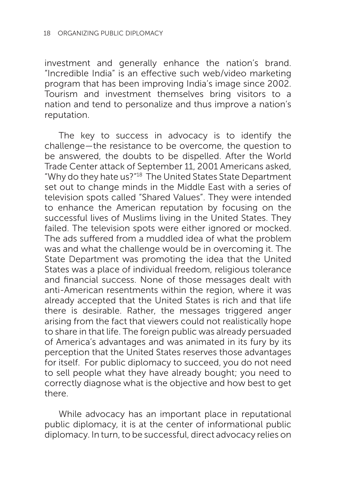investment and generally enhance the nation's brand. "Incredible India" is an effective such web/video marketing program that has been improving India's image since 2002. Tourism and investment themselves bring visitors to a nation and tend to personalize and thus improve a nation's reputation.

The key to success in advocacy is to identify the challenge—the resistance to be overcome, the question to be answered, the doubts to be dispelled. After the World Trade Center attack of September 11, 2001 Americans asked, "Why do they hate us?"18 The United States State Department set out to change minds in the Middle East with a series of television spots called "Shared Values". They were intended to enhance the American reputation by focusing on the successful lives of Muslims living in the United States. They failed. The television spots were either ignored or mocked. The ads suffered from a muddled idea of what the problem was and what the challenge would be in overcoming it. The State Department was promoting the idea that the United States was a place of individual freedom, religious tolerance and financial success. None of those messages dealt with anti-American resentments within the region, where it was already accepted that the United States is rich and that life there is desirable. Rather, the messages triggered anger arising from the fact that viewers could not realistically hope to share in that life. The foreign public was already persuaded of America's advantages and was animated in its fury by its perception that the United States reserves those advantages for itself. For public diplomacy to succeed, you do not need to sell people what they have already bought; you need to correctly diagnose what is the objective and how best to get there.

While advocacy has an important place in reputational public diplomacy, it is at the center of informational public diplomacy. In turn, to be successful, direct advocacy relies on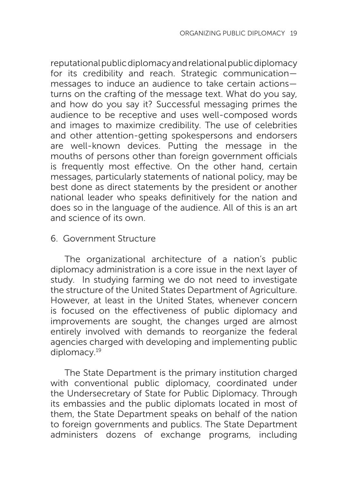reputational public diplomacy and relational public diplomacy for its credibility and reach. Strategic communication messages to induce an audience to take certain actions turns on the crafting of the message text. What do you say, and how do you say it? Successful messaging primes the audience to be receptive and uses well-composed words and images to maximize credibility. The use of celebrities and other attention-getting spokespersons and endorsers are well-known devices. Putting the message in the mouths of persons other than foreign government officials is frequently most effective. On the other hand, certain messages, particularly statements of national policy, may be best done as direct statements by the president or another national leader who speaks definitively for the nation and does so in the language of the audience. All of this is an art and science of its own.

## 6. Government Structure

The organizational architecture of a nation's public diplomacy administration is a core issue in the next layer of study. In studying farming we do not need to investigate the structure of the United States Department of Agriculture. However, at least in the United States, whenever concern is focused on the effectiveness of public diplomacy and improvements are sought, the changes urged are almost entirely involved with demands to reorganize the federal agencies charged with developing and implementing public diplomacy.19

The State Department is the primary institution charged with conventional public diplomacy, coordinated under the Undersecretary of State for Public Diplomacy. Through its embassies and the public diplomats located in most of them, the State Department speaks on behalf of the nation to foreign governments and publics. The State Department administers dozens of exchange programs, including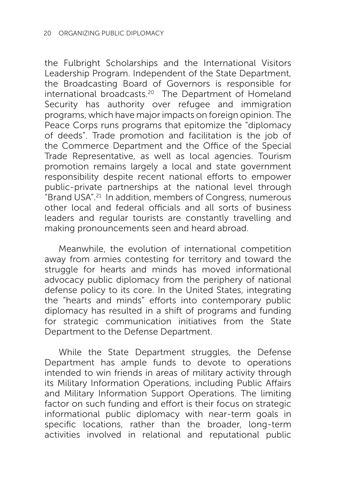the Fulbright Scholarships and the International Visitors Leadership Program. Independent of the State Department, the Broadcasting Board of Governors is responsible for international broadcasts.20 The Department of Homeland Security has authority over refugee and immigration programs, which have major impacts on foreign opinion. The Peace Corps runs programs that epitomize the "diplomacy of deeds". Trade promotion and facilitation is the job of the Commerce Department and the Office of the Special Trade Representative, as well as local agencies. Tourism promotion remains largely a local and state government responsibility despite recent national efforts to empower public-private partnerships at the national level through "Brand USA".21 In addition, members of Congress, numerous other local and federal officials and all sorts of business leaders and regular tourists are constantly travelling and making pronouncements seen and heard abroad.

Meanwhile, the evolution of international competition away from armies contesting for territory and toward the struggle for hearts and minds has moved informational advocacy public diplomacy from the periphery of national defense policy to its core. In the United States, integrating the "hearts and minds" efforts into contemporary public diplomacy has resulted in a shift of programs and funding for strategic communication initiatives from the State Department to the Defense Department.

While the State Department struggles, the Defense Department has ample funds to devote to operations intended to win friends in areas of military activity through its Military Information Operations, including Public Affairs and Military Information Support Operations. The limiting factor on such funding and effort is their focus on strategic informational public diplomacy with near-term goals in specific locations, rather than the broader, long-term activities involved in relational and reputational public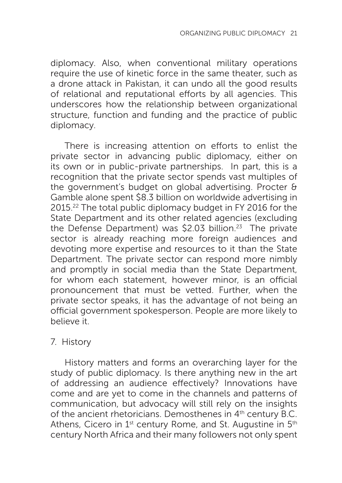diplomacy. Also, when conventional military operations require the use of kinetic force in the same theater, such as a drone attack in Pakistan, it can undo all the good results of relational and reputational efforts by all agencies. This underscores how the relationship between organizational structure, function and funding and the practice of public diplomacy.

There is increasing attention on efforts to enlist the private sector in advancing public diplomacy, either on its own or in public-private partnerships. In part, this is a recognition that the private sector spends vast multiples of the government's budget on global advertising. Procter & Gamble alone spent \$8.3 billion on worldwide advertising in 2015.22 The total public diplomacy budget in FY 2016 for the State Department and its other related agencies (excluding the Defense Department) was \$2.03 billion.<sup>23</sup> The private sector is already reaching more foreign audiences and devoting more expertise and resources to it than the State Department. The private sector can respond more nimbly and promptly in social media than the State Department, for whom each statement, however minor, is an official pronouncement that must be vetted. Further, when the private sector speaks, it has the advantage of not being an official government spokesperson. People are more likely to believe it.

## 7. History

History matters and forms an overarching layer for the study of public diplomacy. Is there anything new in the art of addressing an audience effectively? Innovations have come and are yet to come in the channels and patterns of communication, but advocacy will still rely on the insights of the ancient rhetoricians. Demosthenes in 4<sup>th</sup> century B.C. Athens, Cicero in  $1<sup>st</sup>$  century Rome, and St. Augustine in  $5<sup>th</sup>$ century North Africa and their many followers not only spent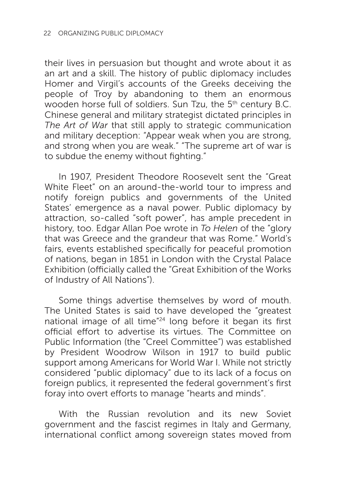their lives in persuasion but thought and wrote about it as an art and a skill. The history of public diplomacy includes Homer and Virgil's accounts of the Greeks deceiving the people of Troy by abandoning to them an enormous wooden horse full of soldiers. Sun Tzu, the 5th century B.C. Chinese general and military strategist dictated principles in *The Art of War* that still apply to strategic communication and military deception: "Appear weak when you are strong, and strong when you are weak." "The supreme art of war is to subdue the enemy without fighting."

In 1907, President Theodore Roosevelt sent the "Great White Fleet" on an around-the-world tour to impress and notify foreign publics and governments of the United States' emergence as a naval power. Public diplomacy by attraction, so-called "soft power", has ample precedent in history, too. Edgar Allan Poe wrote in *To Helen* of the "glory that was Greece and the grandeur that was Rome." World's fairs, events established specifically for peaceful promotion of nations, began in 1851 in London with the Crystal Palace Exhibition (officially called the "Great Exhibition of the Works of Industry of All Nations").

Some things advertise themselves by word of mouth. The United States is said to have developed the "greatest national image of all time"24 long before it began its first official effort to advertise its virtues. The Committee on Public Information (the "Creel Committee") was established by President Woodrow Wilson in 1917 to build public support among Americans for World War I. While not strictly considered "public diplomacy" due to its lack of a focus on foreign publics, it represented the federal government's first foray into overt efforts to manage "hearts and minds".

With the Russian revolution and its new Soviet government and the fascist regimes in Italy and Germany, international conflict among sovereign states moved from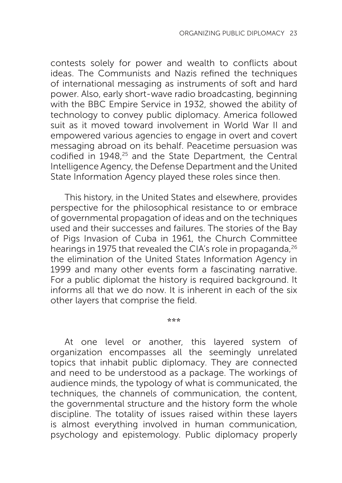contests solely for power and wealth to conflicts about ideas. The Communists and Nazis refined the techniques of international messaging as instruments of soft and hard power. Also, early short-wave radio broadcasting, beginning with the BBC Empire Service in 1932, showed the ability of technology to convey public diplomacy. America followed suit as it moved toward involvement in World War II and empowered various agencies to engage in overt and covert messaging abroad on its behalf. Peacetime persuasion was codified in 1948,<sup>25</sup> and the State Department, the Central Intelligence Agency, the Defense Department and the United State Information Agency played these roles since then.

This history, in the United States and elsewhere, provides perspective for the philosophical resistance to or embrace of governmental propagation of ideas and on the techniques used and their successes and failures. The stories of the Bay of Pigs Invasion of Cuba in 1961, the Church Committee hearings in 1975 that revealed the CIA's role in propaganda.<sup>26</sup> the elimination of the United States Information Agency in 1999 and many other events form a fascinating narrative. For a public diplomat the history is required background. It informs all that we do now. It is inherent in each of the six other layers that comprise the field.

**\*\*\***

At one level or another, this layered system of organization encompasses all the seemingly unrelated topics that inhabit public diplomacy. They are connected and need to be understood as a package. The workings of audience minds, the typology of what is communicated, the techniques, the channels of communication, the content, the governmental structure and the history form the whole discipline. The totality of issues raised within these layers is almost everything involved in human communication, psychology and epistemology. Public diplomacy properly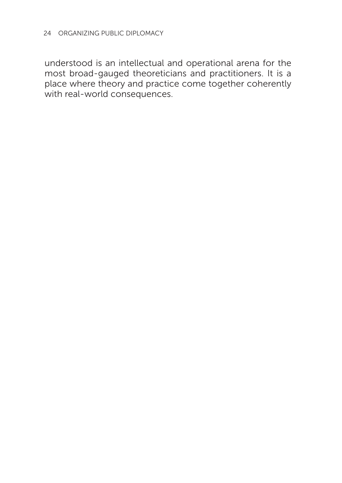understood is an intellectual and operational arena for the most broad-gauged theoreticians and practitioners. It is a place where theory and practice come together coherently with real-world consequences.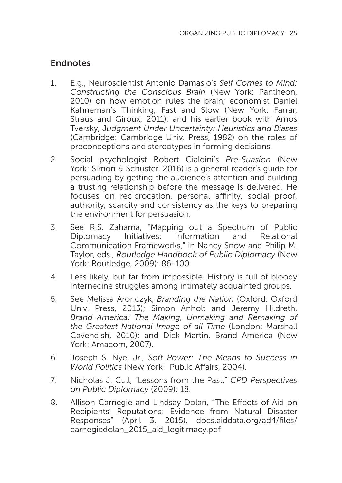## **Endnotes**

- 1. E.g., Neuroscientist Antonio Damasio's *Self Comes to Mind: Constructing the Conscious Brain* (New York: Pantheon, 2010) on how emotion rules the brain; economist Daniel Kahneman's Thinking, Fast and Slow (New York: Farrar, Straus and Giroux, 2011); and his earlier book with Amos Tversky, J*udgment Under Uncertainty: Heuristics and Biases*  (Cambridge: Cambridge Univ. Press, 1982) on the roles of preconceptions and stereotypes in forming decisions.
- 2. Social psychologist Robert Cialdini's *Pre-Suasion* (New York: Simon & Schuster, 2016) is a general reader's guide for persuading by getting the audience's attention and building a trusting relationship before the message is delivered. He focuses on reciprocation, personal affinity, social proof, authority, scarcity and consistency as the keys to preparing the environment for persuasion.
- 3. See R.S. Zaharna, "Mapping out a Spectrum of Public Diplomacy Initiatives: Information and Relational Communication Frameworks," in Nancy Snow and Philip M. Taylor, eds., *Routledge Handbook of Public Diplomacy* (New York: Routledge, 2009): 86-100.
- 4. Less likely, but far from impossible. History is full of bloody internecine struggles among intimately acquainted groups.
- 5. See Melissa Aronczyk, *Branding the Nation* (Oxford: Oxford Univ. Press, 2013); Simon Anholt and Jeremy Hildreth, *Brand America: The Making, Unmaking and Remaking of the Greatest National Image of all Time* (London: Marshall Cavendish, 2010); and Dick Martin, Brand America (New York: Amacom, 2007).
- 6. Joseph S. Nye, Jr., *Soft Power: The Means to Success in World Politics* (New York: Public Affairs, 2004).
- 7. Nicholas J. Cull, "Lessons from the Past," *CPD Perspectives on Public Diplomacy* (2009): 18.
- 8. Allison Carnegie and Lindsay Dolan, "The Effects of Aid on Recipients' Reputations: Evidence from Natural Disaster Responses" (April 3, 2015), docs.aiddata.org/ad4/files/ carnegiedolan\_2015\_aid\_legitimacy.pdf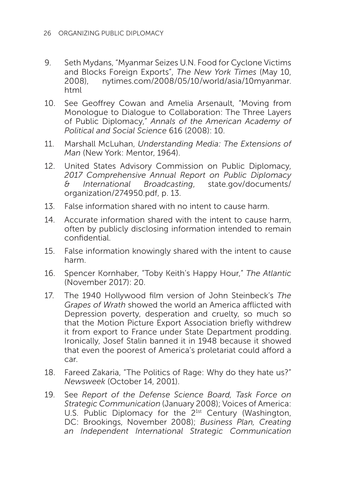- 9. Seth Mydans, "Myanmar Seizes U.N. Food for Cyclone Victims and Blocks Foreign Exports", *The New York Times* (May 10, 2008), nytimes.com/2008/05/10/world/asia/10myanmar. html
- 10. See Geoffrey Cowan and Amelia Arsenault, "Moving from Monologue to Dialogue to Collaboration: The Three Layers of Public Diplomacy," *Annals of the American Academy of Political and Social Science* 616 (2008): 10.
- 11. Marshall McLuhan, *Understanding Media: The Extensions of Man* (New York: Mentor, 1964).
- 12. United States Advisory Commission on Public Diplomacy, *2017 Comprehensive Annual Report on Public Diplomacy & International Broadcasting*, state.gov/documents/ organization/274950.pdf, p. 13.
- 13. False information shared with no intent to cause harm.
- 14. Accurate information shared with the intent to cause harm, often by publicly disclosing information intended to remain confidential.
- 15. False information knowingly shared with the intent to cause harm.
- 16. Spencer Kornhaber, "Toby Keith's Happy Hour," *The Atlantic*  (November 2017): 20.
- 17. The 1940 Hollywood film version of John Steinbeck's *The Grapes of Wrath* showed the world an America afflicted with Depression poverty, desperation and cruelty, so much so that the Motion Picture Export Association briefly withdrew it from export to France under State Department prodding. Ironically, Josef Stalin banned it in 1948 because it showed that even the poorest of America's proletariat could afford a car.
- 18. Fareed Zakaria, "The Politics of Rage: Why do they hate us?" *Newsweek* (October 14, 2001).
- 19. See *Report of the Defense Science Board, Task Force on Strategic Communication* (January 2008); Voices of America: U.S. Public Diplomacy for the 21st Century (Washington, DC: Brookings, November 2008); *Business Plan, Creating an Independent International Strategic Communication*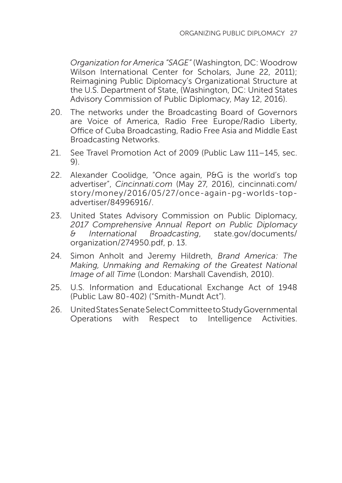*Organization for America "SAGE"* (Washington, DC: Woodrow Wilson International Center for Scholars, June 22, 2011); Reimagining Public Diplomacy's Organizational Structure at the U.S. Department of State, (Washington, DC: United States Advisory Commission of Public Diplomacy, May 12, 2016).

- 20. The networks under the Broadcasting Board of Governors are Voice of America, Radio Free Europe/Radio Liberty, Office of Cuba Broadcasting, Radio Free Asia and Middle East Broadcasting Networks.
- 21. See Travel Promotion Act of 2009 (Public Law 111–145, sec. 9).
- 22. Alexander Coolidge, "Once again, P&G is the world's top advertiser", *Cincinnati.com* (May 27, 2016), cincinnati.com/ story/money/2016/05/27/once-again-pg-worlds-topadvertiser/84996916/.
- 23. United States Advisory Commission on Public Diplomacy, *2017 Comprehensive Annual Report on Public Diplomacy & International Broadcasting*, state.gov/documents/ organization/274950.pdf, p. 13.
- 24. Simon Anholt and Jeremy Hildreth, *Brand America: The Making, Unmaking and Remaking of the Greatest National Image of all Time* (London: Marshall Cavendish, 2010).
- 25. U.S. Information and Educational Exchange Act of 1948 (Public Law 80-402) ("Smith-Mundt Act").
- 26. United States Senate Select Committee to Study Governmental Operations with Respect to Intelligence Activities.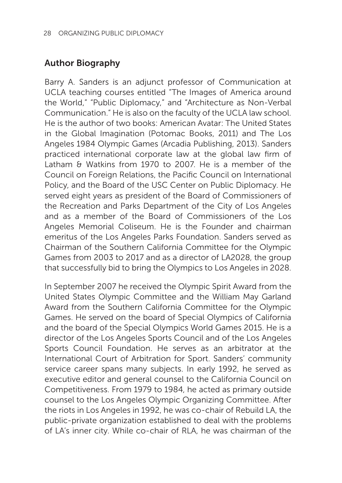## Author Biography

Barry A. Sanders is an adjunct professor of Communication at UCLA teaching courses entitled "The Images of America around the World," "Public Diplomacy," and "Architecture as Non-Verbal Communication." He is also on the faculty of the UCLA law school. He is the author of two books: American Avatar: The United States in the Global Imagination (Potomac Books, 2011) and The Los Angeles 1984 Olympic Games (Arcadia Publishing, 2013). Sanders practiced international corporate law at the global law firm of Latham & Watkins from 1970 to 2007. He is a member of the Council on Foreign Relations, the Pacific Council on International Policy, and the Board of the USC Center on Public Diplomacy. He served eight years as president of the Board of Commissioners of the Recreation and Parks Department of the City of Los Angeles and as a member of the Board of Commissioners of the Los Angeles Memorial Coliseum. He is the Founder and chairman emeritus of the Los Angeles Parks Foundation. Sanders served as Chairman of the Southern California Committee for the Olympic Games from 2003 to 2017 and as a director of LA2028, the group that successfully bid to bring the Olympics to Los Angeles in 2028.

In September 2007 he received the Olympic Spirit Award from the United States Olympic Committee and the William May Garland Award from the Southern California Committee for the Olympic Games. He served on the board of Special Olympics of California and the board of the Special Olympics World Games 2015. He is a director of the Los Angeles Sports Council and of the Los Angeles Sports Council Foundation. He serves as an arbitrator at the International Court of Arbitration for Sport. Sanders' community service career spans many subjects. In early 1992, he served as executive editor and general counsel to the California Council on Competitiveness. From 1979 to 1984, he acted as primary outside counsel to the Los Angeles Olympic Organizing Committee. After the riots in Los Angeles in 1992, he was co-chair of Rebuild LA, the public-private organization established to deal with the problems of LA's inner city. While co-chair of RLA, he was chairman of the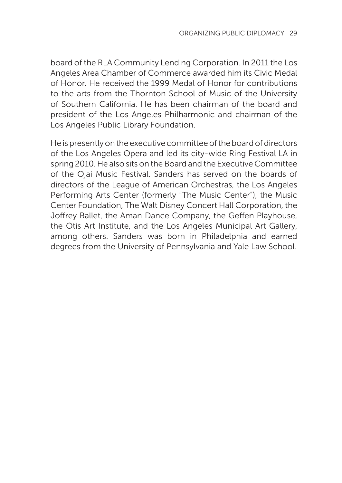board of the RLA Community Lending Corporation. In 2011 the Los Angeles Area Chamber of Commerce awarded him its Civic Medal of Honor. He received the 1999 Medal of Honor for contributions to the arts from the Thornton School of Music of the University of Southern California. He has been chairman of the board and president of the Los Angeles Philharmonic and chairman of the Los Angeles Public Library Foundation.

He is presently on the executive committee of the board of directors of the Los Angeles Opera and led its city-wide Ring Festival LA in spring 2010. He also sits on the Board and the Executive Committee of the Ojai Music Festival. Sanders has served on the boards of directors of the League of American Orchestras, the Los Angeles Performing Arts Center (formerly "The Music Center"), the Music Center Foundation, The Walt Disney Concert Hall Corporation, the Joffrey Ballet, the Aman Dance Company, the Geffen Playhouse, the Otis Art Institute, and the Los Angeles Municipal Art Gallery, among others. Sanders was born in Philadelphia and earned degrees from the University of Pennsylvania and Yale Law School.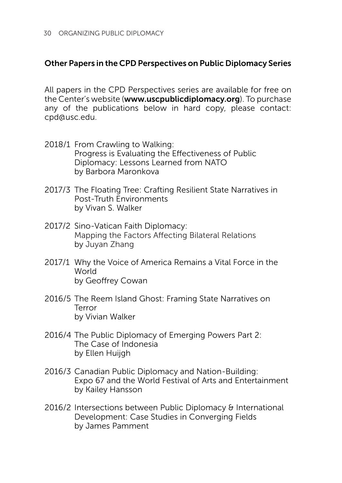#### Other Papers in the CPD Perspectives on Public Diplomacy Series

All papers in the CPD Perspectives series are available for free on the Center's website (www.uscpublicdiplomacy.org). To purchase any of the publications below in hard copy, please contact: cpd@usc.edu.

- 2018/1 From Crawling to Walking: Progress is Evaluating the Effectiveness of Public Diplomacy: Lessons Learned from NATO by Barbora Maronkova
- 2017/3 The Floating Tree: Crafting Resilient State Narratives in Post-Truth Environments by Vivan S. Walker
- 2017/2 Sino-Vatican Faith Diplomacy: Mapping the Factors Affecting Bilateral Relations by Juyan Zhang
- 2017/1 Why the Voice of America Remains a Vital Force in the **World** by Geoffrey Cowan
- 2016/5 The Reem Island Ghost: Framing State Narratives on Terror by Vivian Walker
- 2016/4 The Public Diplomacy of Emerging Powers Part 2: The Case of Indonesia by Ellen Huijgh
- 2016/3 Canadian Public Diplomacy and Nation-Building: Expo 67 and the World Festival of Arts and Entertainment by Kailey Hansson
- 2016/2 Intersections between Public Diplomacy & International Development: Case Studies in Converging Fields by James Pamment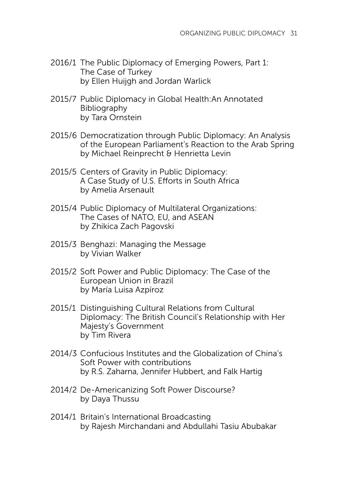- 2016/1 The Public Diplomacy of Emerging Powers, Part 1: The Case of Turkey by Ellen Huijgh and Jordan Warlick
- 2015/7 Public Diplomacy in Global Health:An Annotated Bibliography by Tara Ornstein
- 2015/6 Democratization through Public Diplomacy: An Analysis of the European Parliament's Reaction to the Arab Spring by Michael Reinprecht & Henrietta Levin
- 2015/5 Centers of Gravity in Public Diplomacy: A Case Study of U.S. Efforts in South Africa by Amelia Arsenault
- 2015/4 Public Diplomacy of Multilateral Organizations: The Cases of NATO, EU, and ASEAN by Zhikica Zach Pagovski
- 2015/3 Benghazi: Managing the Message by Vivian Walker
- 2015/2 Soft Power and Public Diplomacy: The Case of the European Union in Brazil by María Luisa Azpíroz
- 2015/1 Distinguishing Cultural Relations from Cultural Diplomacy: The British Council's Relationship with Her Majesty's Government by Tim Rivera
- 2014/3 Confucious Institutes and the Globalization of China's Soft Power with contributions by R.S. Zaharna, Jennifer Hubbert, and Falk Hartig
- 2014/2 De-Americanizing Soft Power Discourse? by Daya Thussu
- 2014/1 Britain's International Broadcasting by Rajesh Mirchandani and Abdullahi Tasiu Abubakar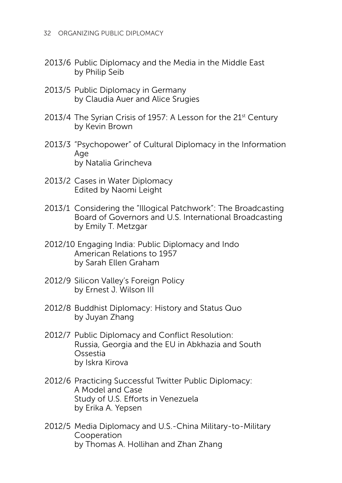- 2013/6 Public Diplomacy and the Media in the Middle East by Philip Seib
- 2013/5 Public Diplomacy in Germany by Claudia Auer and Alice Srugies
- 2013/4 The Syrian Crisis of 1957: A Lesson for the 21<sup>st</sup> Century by Kevin Brown
- 2013/3 "Psychopower" of Cultural Diplomacy in the Information Age by Natalia Grincheva
- 2013/2 Cases in Water Diplomacy Edited by Naomi Leight
- 2013/1 Considering the "Illogical Patchwork": The Broadcasting Board of Governors and U.S. International Broadcasting by Emily T. Metzgar
- 2012/10 Engaging India: Public Diplomacy and Indo American Relations to 1957 by Sarah Ellen Graham
- 2012/9 Silicon Valley's Foreign Policy by Ernest J. Wilson III
- 2012/8 Buddhist Diplomacy: History and Status Quo by Juyan Zhang
- 2012/7 Public Diplomacy and Conflict Resolution: Russia, Georgia and the EU in Abkhazia and South Ossestia by Iskra Kirova
- 2012/6 Practicing Successful Twitter Public Diplomacy: A Model and Case Study of U.S. Efforts in Venezuela by Erika A. Yepsen
- 2012/5 Media Diplomacy and U.S.-China Military-to-Military Cooperation by Thomas A. Hollihan and Zhan Zhang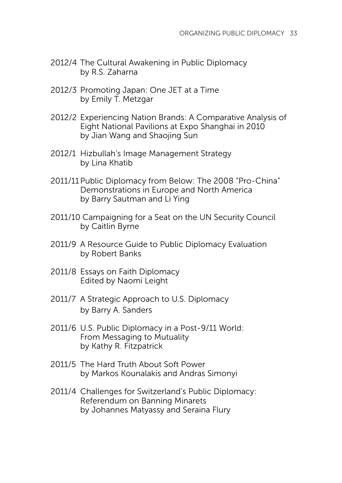- 2012/4 The Cultural Awakening in Public Diplomacy by R.S. Zaharna
- 2012/3 Promoting Japan: One JET at a Time by Emily T. Metzgar
- 2012/2 Experiencing Nation Brands: A Comparative Analysis of Eight National Pavilions at Expo Shanghai in 2010 by Jian Wang and Shaojing Sun
- 2012/1 Hizbullah's Image Management Strategy by Lina Khatib
- 2011/11Public Diplomacy from Below: The 2008 "Pro-China" Demonstrations in Europe and North America by Barry Sautman and Li Ying
- 2011/10 Campaigning for a Seat on the UN Security Council by Caitlin Byrne
- 2011/9 A Resource Guide to Public Diplomacy Evaluation by Robert Banks
- 2011/8 Essays on Faith Diplomacy Edited by Naomi Leight
- 2011/7 A Strategic Approach to U.S. Diplomacy by Barry A. Sanders
- 2011/6 U.S. Public Diplomacy in a Post-9/11 World: From Messaging to Mutuality by Kathy R. Fitzpatrick
- 2011/5 The Hard Truth About Soft Power by Markos Kounalakis and Andras Simonyi
- 2011/4 Challenges for Switzerland's Public Diplomacy: Referendum on Banning Minarets by Johannes Matyassy and Seraina Flury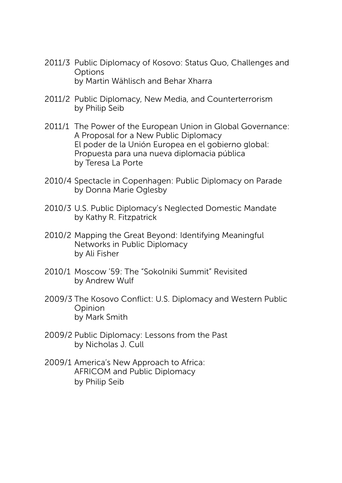- 2011/3 Public Diplomacy of Kosovo: Status Quo, Challenges and **Options** by Martin Wählisch and Behar Xharra
- 2011/2 Public Diplomacy, New Media, and Counterterrorism by Philip Seib
- 2011/1 The Power of the European Union in Global Governance: A Proposal for a New Public Diplomacy El poder de la Unión Europea en el gobierno global: Propuesta para una nueva diplomacia pública by Teresa La Porte
- 2010/4 Spectacle in Copenhagen: Public Diplomacy on Parade by Donna Marie Oglesby
- 2010/3 U.S. Public Diplomacy's Neglected Domestic Mandate by Kathy R. Fitzpatrick
- 2010/2 Mapping the Great Beyond: Identifying Meaningful Networks in Public Diplomacy by Ali Fisher
- 2010/1 Moscow '59: The "Sokolniki Summit" Revisited by Andrew Wulf
- 2009/3 The Kosovo Conflict: U.S. Diplomacy and Western Public Opinion by Mark Smith
- 2009/2 Public Diplomacy: Lessons from the Past by Nicholas J. Cull
- 2009/1 America's New Approach to Africa: AFRICOM and Public Diplomacy by Philip Seib